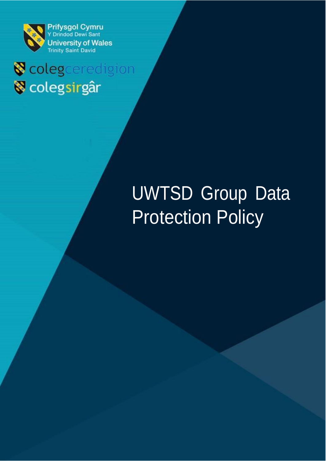

**Prifysgol Cymru Drindod Dewi Sant University of Wales**<br>Trinity Saint David

**V** colegceredigion Colegsirgâr

# UWTSD Group Data Protection Policy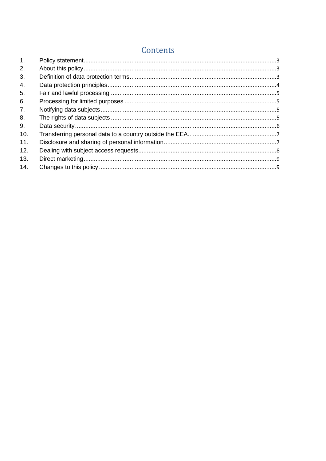|     | Contents |  |
|-----|----------|--|
| 1.  |          |  |
| 2.  |          |  |
| 3.  |          |  |
| 4.  |          |  |
| 5.  |          |  |
| 6.  |          |  |
| 7.  |          |  |
| 8.  |          |  |
| 9.  |          |  |
| 10. |          |  |
| 11. |          |  |
| 12. |          |  |
| 13. |          |  |
| 14. |          |  |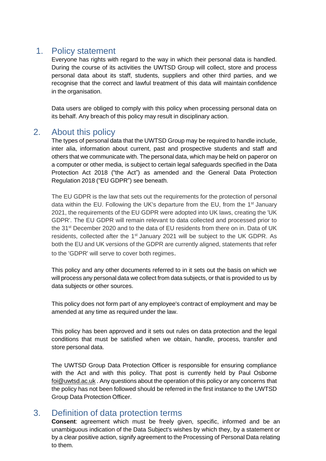#### <span id="page-2-0"></span>1. Policy statement

Everyone has rights with regard to the way in which their personal data is handled. During the course of its activities the UWTSD Group will collect, store and process personal data about its staff, students, suppliers and other third parties, and we recognise that the correct and lawful treatment of this data will maintain confidence in the organisation.

Data users are obliged to comply with this policy when processing personal data on its behalf. Any breach of this policy may result in disciplinary action.

### <span id="page-2-1"></span>2. About this policy

The types of personal data that the UWTSD Group may be required to handle include, inter alia, information about current, past and prospective students and staff and others that we communicate with. The personal data, which may be held on paperor on a computer or other media, is subject to certain legal safeguards specified in the Data Protection Act 2018 ("the Act") as amended and the General Data Protection Regulation 2018 ("EU GDPR") see beneath.

The EU GDPR is the law that sets out the requirements for the protection of personal data within the EU. Following the UK's departure from the EU, from the 1<sup>st</sup> January 2021, the requirements of the EU GDPR were adopted into UK laws, creating the 'UK GDPR'. The EU GDPR will remain relevant to data collected and processed prior to the 31st December 2020 and to the data of EU residents from there on in. Data of UK residents, collected after the 1<sup>st</sup> January 2021 will be subject to the UK GDPR. As both the EU and UK versions of the GDPR are currently aligned, statements that refer to the 'GDPR' will serve to cover both regimes.

This policy and any other documents referred to in it sets out the basis on which we will process any personal data we collect from data subjects, or that is provided to us by data subjects or other sources.

This policy does not form part of any employee's contract of employment and may be amended at any time as required under the law.

This policy has been approved and it sets out rules on data protection and the legal conditions that must be satisfied when we obtain, handle, process, transfer and store personal data.

The UWTSD Group Data Protection Officer is responsible for ensuring compliance with the Act and with this policy. That post is currently held by Paul Osborne [foi@uwtsd.ac.uk](mailto:foi@uwtsd.ac.uk) . Any questions about the operation of this policy or any concerns that the policy has not been followed should be referred in the first instance to the UWTSD Group Data Protection Officer.

### <span id="page-2-2"></span>3. Definition of data protection terms

**Consent**: agreement which must be freely given, specific, informed and be an unambiguous indication of the Data Subject's wishes by which they, by a statement or by a clear positive action, signify agreement to the Processing of Personal Data relating to them.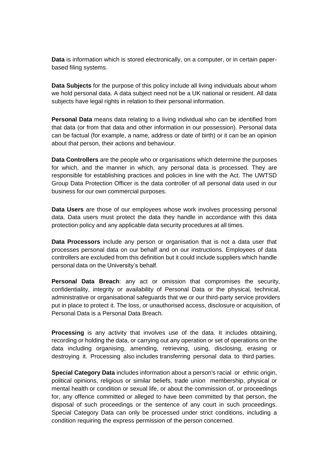**Data** is information which is stored electronically, on a computer, or in certain paperbased filing systems.

**Data Subjects** for the purpose of this policy include all living individuals about whom we hold personal data. A data subject need not be a UK national or resident. All data subjects have legal rights in relation to their personal information.

**Personal Data** means data relating to a living individual who can be identified from that data (or from that data and other information in our possession). Personal data can be factual (for example, a name, address or date of birth) or it can be an opinion about that person, their actions and behaviour.

**Data Controllers** are the people who or organisations which determine the purposes for which, and the manner in which, any personal data is processed. They are responsible for establishing practices and policies in line with the Act. The UWTSD Group Data Protection Officer is the data controller of all personal data used in our business for our own commercial purposes.

**Data Users** are those of our employees whose work involves processing personal data. Data users must protect the data they handle in accordance with this data protection policy and any applicable data security procedures at all times.

**Data Processors** include any person or organisation that is not a data user that processes personal data on our behalf and on our instructions. Employees of data controllers are excluded from this definition but it could include suppliers which handle personal data on the University's behalf.

**Personal Data Breach**: any act or omission that compromises the security, confidentiality, integrity or availability of Personal Data or the physical, technical, administrative or organisational safeguards that we or our third-party service providers put in place to protect it. The loss, or unauthorised access, disclosure or acquisition, of Personal Data is a Personal Data Breach.

**Processing** is any activity that involves use of the data. It includes obtaining, recording or holding the data, or carrying out any operation or set of operations on the data including organising, amending, retrieving, using, disclosing, erasing or destroying it. Processing also includes transferring personal data to third parties.

**Special Category Data** includes information about a person's racial or ethnic origin, political opinions, religious or similar beliefs, trade union membership, physical or mental health or condition or sexual life, or about the commission of, or proceedings for, any offence committed or alleged to have been committed by that person, the disposal of such proceedings or the sentence of any court in such proceedings. Special Category Data can only be processed under strict conditions, including a condition requiring the express permission of the person concerned.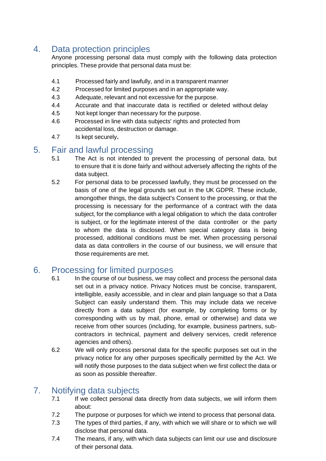# <span id="page-4-0"></span>4. Data protection principles

Anyone processing personal data must comply with the following data protection principles. These provide that personal data must be:

- 4.1 Processed fairly and lawfully, and in a transparent manner
- 4.2 Processed for limited purposes and in an appropriate way.
- 4.3 Adequate, relevant and not excessive for the purpose.
- 4.4 Accurate and that inaccurate data is rectified or deleted without delay
- 4.5 Not kept longer than necessary for the purpose.
- 4.6 Processed in line with data subjects' rights and protected from accidental loss, destruction or damage.
- 4.7 Is kept securely**.**

### <span id="page-4-1"></span>5. Fair and lawful processing

- 5.1 The Act is not intended to prevent the processing of personal data, but to ensure that it is done fairly and without adversely affecting the rights of the data subject.
- 5.2 For personal data to be processed lawfully, they must be processed on the basis of one of the legal grounds set out in the UK GDPR. These include, amongother things, the data subject's Consent to the processing, or that the processing is necessary for the performance of a contract with the data subject, for the compliance with a legal obligation to which the data controller is subject, or for the legitimate interest of the data controller or the party to whom the data is disclosed. When special category data is being processed, additional conditions must be met. When processing personal data as data controllers in the course of our business, we will ensure that those requirements are met.

### <span id="page-4-2"></span>6. Processing for limited purposes

- 6.1 In the course of our business, we may collect and process the personal data set out in a privacy notice. Privacy Notices must be concise, transparent, intelligible, easily accessible, and in clear and plain language so that a Data Subject can easily understand them. This may include data we receive directly from a data subject (for example, by completing forms or by corresponding with us by mail, phone, email or otherwise) and data we receive from other sources (including, for example, business partners, subcontractors in technical, payment and delivery services, credit reference agencies and others).
- 6.2 We will only process personal data for the specific purposes set out in the privacy notice for any other purposes specifically permitted by the Act. We will notify those purposes to the data subject when we first collect the data or as soon as possible thereafter.

# <span id="page-4-3"></span>7. Notifying data subjects

- 7.1 If we collect personal data directly from data subjects, we will inform them about:
- 7.2 The purpose or purposes for which we intend to process that personal data.
- 7.3 The types of third parties, if any, with which we will share or to which we will disclose that personal data.
- 7.4 The means, if any, with which data subjects can limit our use and disclosure of their personal data.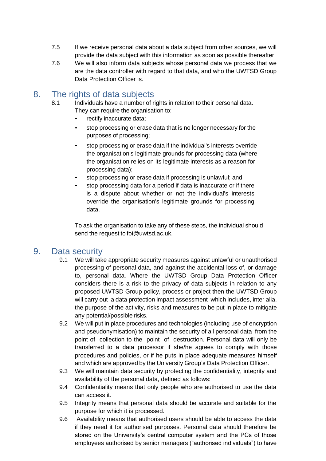- 7.5 If we receive personal data about a data subject from other sources, we will provide the data subject with this information as soon as possible thereafter.
- 7.6 We will also inform data subjects whose personal data we process that we are the data controller with regard to that data, and who the UWTSD Group Data Protection Officer is.

# <span id="page-5-0"></span>8. The rights of data subjects

- 8.1 Individuals have a number of rights in relation to their personal data. They can require the organisation to:
	- rectify inaccurate data;
	- stop processing or erase data that is no longer necessary for the purposes of processing;
	- stop processing or erase data if the individual's interests override the organisation's legitimate grounds for processing data (where the organisation relies on its legitimate interests as a reason for processing data);
	- stop processing or erase data if processing is unlawful; and
	- stop processing data for a period if data is inaccurate or if there is a dispute about whether or not the individual's interests override the organisation's legitimate grounds for processing data.

To ask the organisation to take any of these steps, the individual should send the request to [foi@uwtsd.ac.uk.](mailto:foi@uwtsd.ac.uk)

#### <span id="page-5-1"></span>9. Data security

- 9.1 We will take appropriate security measures against unlawful or unauthorised processing of personal data, and against the accidental loss of, or damage to, personal data. Where the UWTSD Group Data Protection Officer considers there is a risk to the privacy of data subjects in relation to any proposed UWTSD Group policy, process or project then the UWTSD Group will carry out a data protection impact assessment which includes, inter alia, the purpose of the activity, risks and measures to be put in place to mitigate any potential/possible risks.
- 9.2 We will put in place procedures and technologies (including use of encryption and pseudonymisation) to maintain the security of all personal data from the point of collection to the point of destruction. Personal data will only be transferred to a data processor if she/he agrees to comply with those procedures and policies, or if he puts in place adequate measures himself and which are approved by the University Group's Data Protection Officer.
- 9.3 We will maintain data security by protecting the confidentiality, integrity and availability of the personal data, defined as follows:
- 9.4 Confidentiality means that only people who are authorised to use the data can access it.
- 9.5 Integrity means that personal data should be accurate and suitable for the purpose for which it is processed.
- 9.6 Availability means that authorised users should be able to access the data if they need it for authorised purposes. Personal data should therefore be stored on the University's central computer system and the PCs of those employees authorised by senior managers ("authorised individuals") to have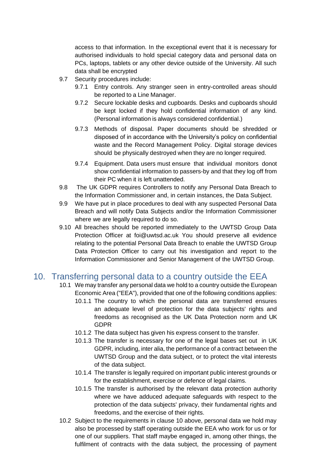access to that information. In the exceptional event that it is necessary for authorised individuals to hold special category data and personal data on PCs, laptops, tablets or any other device outside of the University. All such data shall be encrypted

- 9.7 Security procedures include:
	- 9.7.1 Entry controls. Any stranger seen in entry-controlled areas should be reported to a Line Manager.
	- 9.7.2 Secure lockable desks and cupboards. Desks and cupboards should be kept locked if they hold confidential information of any kind. (Personal information is always considered confidential.)
	- 9.7.3 Methods of disposal. Paper documents should be shredded or disposed of in accordance with the University's policy on confidential waste and the Record Management Policy. Digital storage devices should be physically destroyed when they are no longer required.
	- 9.7.4 Equipment. Data users must ensure that individual monitors donot show confidential information to passers-by and that they log off from their PC when it is left unattended.
- 9.8 The UK GDPR requires Controllers to notify any Personal Data Breach to the Information Commissioner and, in certain instances, the Data Subject.
- 9.9 We have put in place procedures to deal with any suspected Personal Data Breach and will notify Data Subjects and/or the Information Commissioner where we are legally required to do so.
- 9.10 All breaches should be reported immediately to the UWTSD Group Data Protection Officer at [foi@uwtsd.ac.uk](mailto:foi@uwtsd.ac.uk) You should preserve all evidence relating to the potential Personal Data Breach to enable the UWTSD Group Data Protection Officer to carry out his investigation and report to the Information Commissioner and Senior Management of the UWTSD Group.

### <span id="page-6-0"></span>10. Transferring personal data to a country outside the EEA

- 10.1 We may transfer any personal data we hold to a country outside the European Economic Area ("EEA"), provided that one of the following conditions applies:
	- 10.1.1 The country to which the personal data are transferred ensures an adequate level of protection for the data subjects' rights and freedoms as recognised as the UK Data Protection norm and UK GDPR
	- 10.1.2 The data subject has given his express consent to the transfer.
	- 10.1.3 The transfer is necessary for one of the legal bases set out in UK GDPR, including, inter alia, the performance of a contract between the UWTSD Group and the data subject, or to protect the vital interests of the data subject.
	- 10.1.4 The transfer is legally required on important public interest grounds or for the establishment, exercise or defence of legal claims.
	- 10.1.5 The transfer is authorised by the relevant data protection authority where we have adduced adequate safeguards with respect to the protection of the data subjects' privacy, their fundamental rights and freedoms, and the exercise of their rights.
- 10.2 Subject to the requirements in clause 10 above, personal data we hold may also be processed by staff operating outside the EEA who work for us or for one of our suppliers. That staff maybe engaged in, among other things, the fulfilment of contracts with the data subject, the processing of payment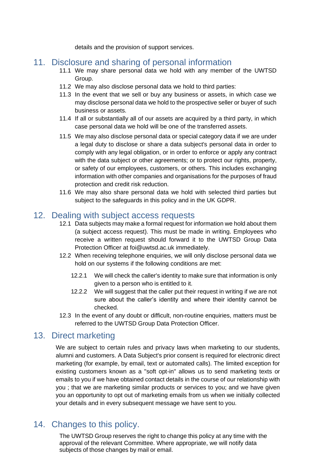details and the provision of support services.

### <span id="page-7-0"></span>11. Disclosure and sharing of personal information

- 11.1 We may share personal data we hold with any member of the UWTSD Group.
- 11.2 We may also disclose personal data we hold to third parties:
- 11.3 In the event that we sell or buy any business or assets, in which case we may disclose personal data we hold to the prospective seller or buyer of such business or assets.
- 11.4 If all or substantially all of our assets are acquired by a third party, in which case personal data we hold will be one of the transferred assets.
- 11.5 We may also disclose personal data or special category data if we are under a legal duty to disclose or share a data subject's personal data in order to comply with any legal obligation, or in order to enforce or apply any contract with the data subject or other agreements; or to protect our rights, property, or safety of our employees, customers, or others. This includes exchanging information with other companies and organisations for the purposes of fraud protection and credit risk reduction.
- 11.6 We may also share personal data we hold with selected third parties but subject to the safeguards in this policy and in the UK GDPR.

#### <span id="page-7-1"></span>12. Dealing with subject access requests

- 12.1 Data subjects may make a formal request for information we hold about them (a subject access request). This must be made in writing. Employees who receive a written request should forward it to the UWTSD Group Data Protection Officer at [foi@uwtsd.ac.uk](mailto:foi@uwtsd.ac.uk) immediately.
- 12.2 When receiving telephone enquiries, we will only disclose personal data we hold on our systems if the following conditions are met:
	- 12.2.1 We will check the caller's identity to make sure that information is only given to a person who is entitled to it.
	- 12.2.2 We will suggest that the caller put their request in writing if we are not sure about the caller's identity and where their identity cannot be checked.
- 12.3 In the event of any doubt or difficult, non-routine enquiries, matters must be referred to the UWTSD Group Data Protection Officer.

# <span id="page-7-2"></span>13. Direct marketing

We are subject to certain rules and privacy laws when marketing to our students, alumni and customers. A Data Subject's prior consent is required for electronic direct marketing (for example, by email, text or automated calls). The limited exception for existing customers known as a "soft opt-in" allows us to send marketing texts or emails to you if we have obtained contact details in the course of our relationship with you ; that we are marketing similar products or services to you; and we have given you an opportunity to opt out of marketing emails from us when we initially collected your details and in every subsequent message we have sent to you.

# <span id="page-7-3"></span>14. Changes to this policy.

The UWTSD Group reserves the right to change this policy at any time with the approval of the relevant Committee. Where appropriate, we will notify data subjects of those changes by mail or email.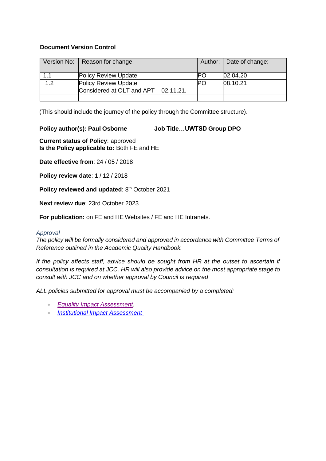#### **Document Version Control**

|     | Version No:   Reason for change:      | Author:   Date of change: |
|-----|---------------------------------------|---------------------------|
|     |                                       |                           |
| 1.1 | <b>Policy Review Update</b>           | 02.04.20                  |
| 1.2 | <b>Policy Review Update</b>           | 08.10.21                  |
|     | Considered at OLT and APT - 02.11.21. |                           |
|     |                                       |                           |

(This should include the journey of the policy through the Committee structure).

#### **Policy author(s): Paul Osborne Job Title…UWTSD Group DPO**

**Current status of Policy**: approved **Is the Policy applicable to:** Both FE and HE

**Date effective from**: 24 / 05 / 2018

**Policy review date**: 1 / 12 / 2018

**Policy reviewed and updated**: 8 th October 2021

**Next review due**: 23rd October 2023

**For publication:** on FE and HE Websites / FE and HE Intranets.

#### *Approval*

*The policy will be formally considered and approved in accordance with Committee Terms of Reference outlined in the Academic Quality Handbook.*

*If the policy affects staff, advice should be sought from HR at the outset to ascertain if consultation is required at JCC. HR will also provide advice on the most appropriate stage to consult with JCC and on whether approval by Council is required*

*ALL policies submitted for approval must be accompanied by a completed:*

- *Equality Impact [Assessment.](https://uowtsd.sharepoint.com/corporate-services/Shared%20Documents/Policies%20%26%20Strategies/Guidance%20and%20Templates/1.3.%20UWTSD%20Equality%20Impact%20Assessment%20-%20Oct%202017.dotx)*
- *Institutional Impact Assessment*